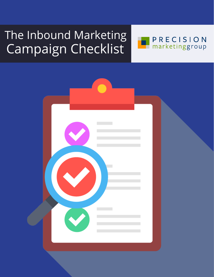## The Inbound Marketing Campaign Checklist